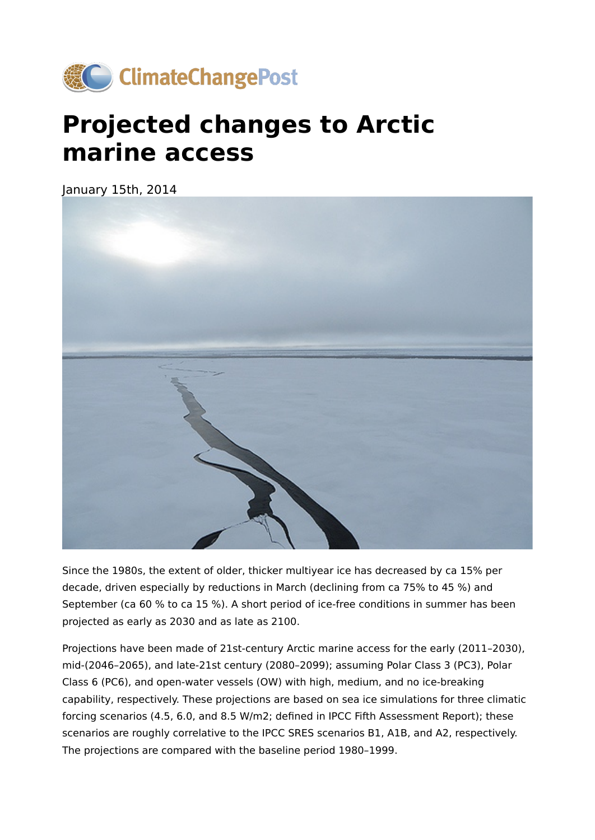

## **Projected changes to Arctic marine access**

January 15th, 2014



Since the 1980s, the extent of older, thicker multiyear ice has decreased by ca 15% per decade, driven especially by reductions in March (declining from ca 75% to 45 %) and September (ca 60 % to ca 15 %). A short period of ice-free conditions in summer has been projected as early as 2030 and as late as 2100.

Projections have been made of 21st-century Arctic marine access for the early (2011–2030), mid-(2046–2065), and late-21st century (2080–2099); assuming Polar Class 3 (PC3), Polar Class 6 (PC6), and open-water vessels (OW) with high, medium, and no ice-breaking capability, respectively. These projections are based on sea ice simulations for three climatic forcing scenarios (4.5, 6.0, and 8.5 W/m2; defined in IPCC Fifth Assessment Report); these scenarios are roughly correlative to the IPCC SRES scenarios B1, A1B, and A2, respectively. The projections are compared with the baseline period 1980–1999.